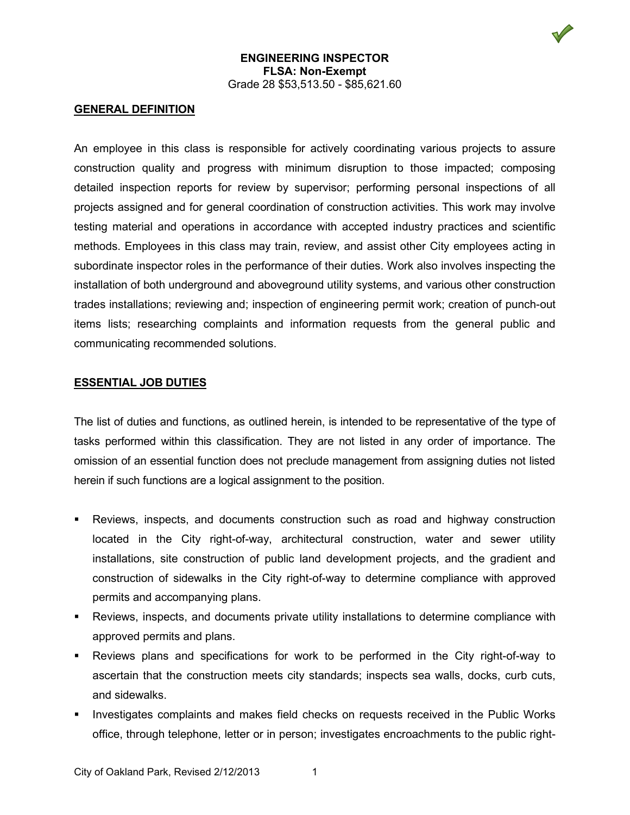## **ENGINEERING INSPECTOR FLSA: Non-Exempt** Grade 28 \$53,513.50 - \$85,621.60

## **GENERAL DEFINITION**

An employee in this class is responsible for actively coordinating various projects to assure construction quality and progress with minimum disruption to those impacted; composing detailed inspection reports for review by supervisor; performing personal inspections of all projects assigned and for general coordination of construction activities. This work may involve testing material and operations in accordance with accepted industry practices and scientific methods. Employees in this class may train, review, and assist other City employees acting in subordinate inspector roles in the performance of their duties. Work also involves inspecting the installation of both underground and aboveground utility systems, and various other construction trades installations; reviewing and; inspection of engineering permit work; creation of punch-out items lists; researching complaints and information requests from the general public and communicating recommended solutions.

### **ESSENTIAL JOB DUTIES**

The list of duties and functions, as outlined herein, is intended to be representative of the type of tasks performed within this classification. They are not listed in any order of importance. The omission of an essential function does not preclude management from assigning duties not listed herein if such functions are a logical assignment to the position.

- Reviews, inspects, and documents construction such as road and highway construction located in the City right-of-way, architectural construction, water and sewer utility installations, site construction of public land development projects, and the gradient and construction of sidewalks in the City right-of-way to determine compliance with approved permits and accompanying plans.
- Reviews, inspects, and documents private utility installations to determine compliance with approved permits and plans.
- Reviews plans and specifications for work to be performed in the City right-of-way to ascertain that the construction meets city standards; inspects sea walls, docks, curb cuts, and sidewalks.
- Investigates complaints and makes field checks on requests received in the Public Works office, through telephone, letter or in person; investigates encroachments to the public right-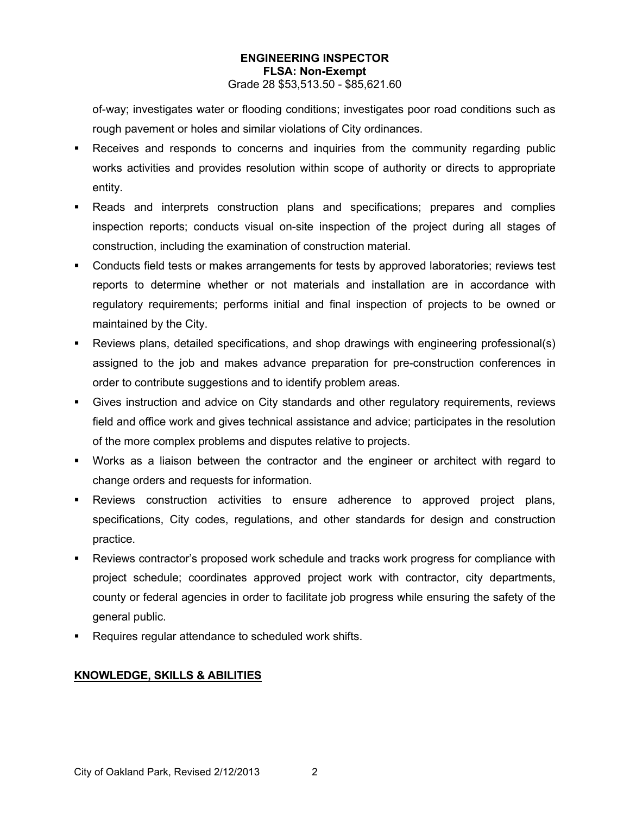# **ENGINEERING INSPECTOR FLSA: Non-Exempt**

Grade 28 \$53,513.50 - \$85,621.60

of-way; investigates water or flooding conditions; investigates poor road conditions such as rough pavement or holes and similar violations of City ordinances.

- Receives and responds to concerns and inquiries from the community regarding public works activities and provides resolution within scope of authority or directs to appropriate entity.
- Reads and interprets construction plans and specifications; prepares and complies inspection reports; conducts visual on-site inspection of the project during all stages of construction, including the examination of construction material.
- Conducts field tests or makes arrangements for tests by approved laboratories; reviews test reports to determine whether or not materials and installation are in accordance with regulatory requirements; performs initial and final inspection of projects to be owned or maintained by the City.
- Reviews plans, detailed specifications, and shop drawings with engineering professional(s) assigned to the job and makes advance preparation for pre-construction conferences in order to contribute suggestions and to identify problem areas.
- Gives instruction and advice on City standards and other regulatory requirements, reviews field and office work and gives technical assistance and advice; participates in the resolution of the more complex problems and disputes relative to projects.
- Works as a liaison between the contractor and the engineer or architect with regard to change orders and requests for information.
- Reviews construction activities to ensure adherence to approved project plans, specifications, City codes, regulations, and other standards for design and construction practice.
- Reviews contractor's proposed work schedule and tracks work progress for compliance with project schedule; coordinates approved project work with contractor, city departments, county or federal agencies in order to facilitate job progress while ensuring the safety of the general public.
- **Requires regular attendance to scheduled work shifts.**

# **KNOWLEDGE, SKILLS & ABILITIES**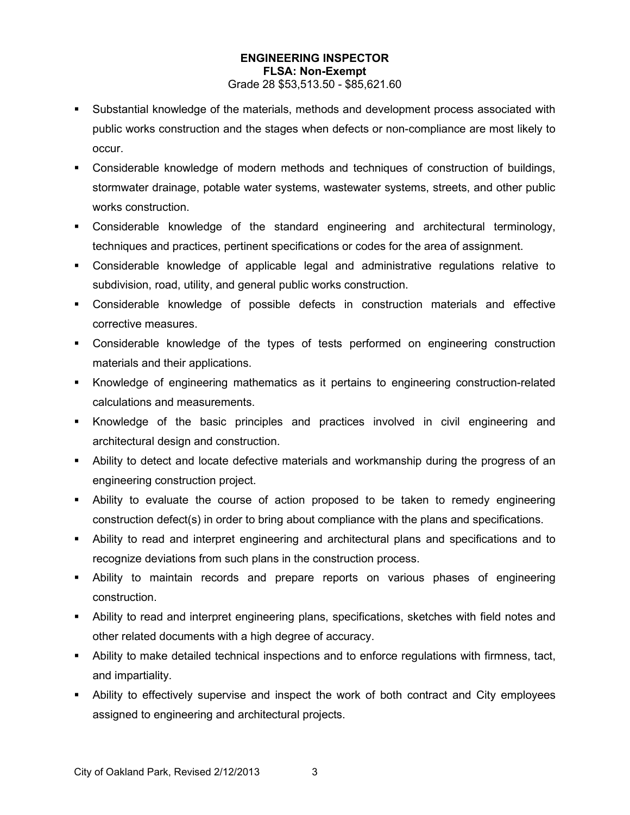## **ENGINEERING INSPECTOR FLSA: Non-Exempt**

#### Grade 28 \$53,513.50 - \$85,621.60

- Substantial knowledge of the materials, methods and development process associated with public works construction and the stages when defects or non-compliance are most likely to occur.
- Considerable knowledge of modern methods and techniques of construction of buildings, stormwater drainage, potable water systems, wastewater systems, streets, and other public works construction.
- Considerable knowledge of the standard engineering and architectural terminology, techniques and practices, pertinent specifications or codes for the area of assignment.
- Considerable knowledge of applicable legal and administrative regulations relative to subdivision, road, utility, and general public works construction.
- Considerable knowledge of possible defects in construction materials and effective corrective measures.
- Considerable knowledge of the types of tests performed on engineering construction materials and their applications.
- Knowledge of engineering mathematics as it pertains to engineering construction-related calculations and measurements.
- Knowledge of the basic principles and practices involved in civil engineering and architectural design and construction.
- Ability to detect and locate defective materials and workmanship during the progress of an engineering construction project.
- Ability to evaluate the course of action proposed to be taken to remedy engineering construction defect(s) in order to bring about compliance with the plans and specifications.
- Ability to read and interpret engineering and architectural plans and specifications and to recognize deviations from such plans in the construction process.
- Ability to maintain records and prepare reports on various phases of engineering construction.
- Ability to read and interpret engineering plans, specifications, sketches with field notes and other related documents with a high degree of accuracy.
- Ability to make detailed technical inspections and to enforce regulations with firmness, tact, and impartiality.
- Ability to effectively supervise and inspect the work of both contract and City employees assigned to engineering and architectural projects.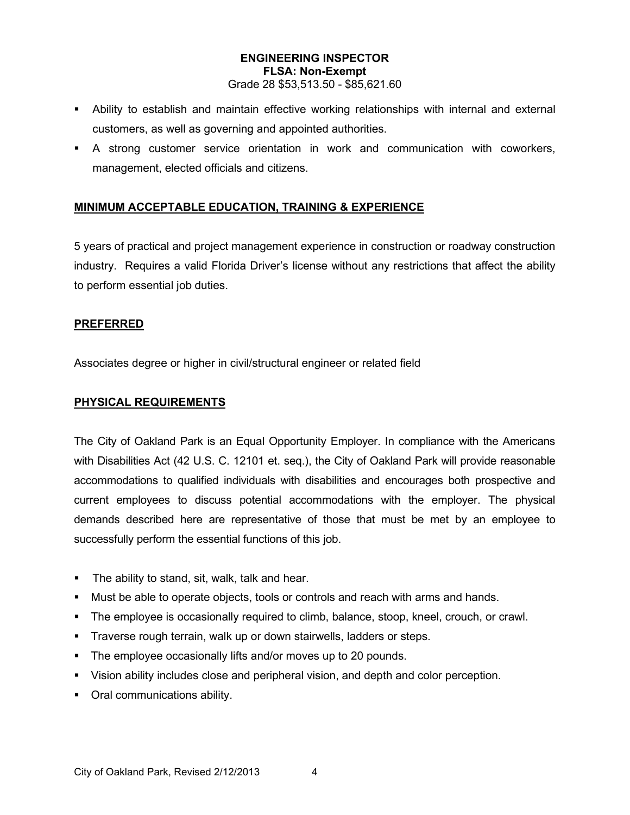#### **ENGINEERING INSPECTOR FLSA: Non-Exempt** Grade 28 \$53,513.50 - \$85,621.60

- Ability to establish and maintain effective working relationships with internal and external
- customers, as well as governing and appointed authorities.
- A strong customer service orientation in work and communication with coworkers, management, elected officials and citizens.

# **MINIMUM ACCEPTABLE EDUCATION, TRAINING & EXPERIENCE**

5 years of practical and project management experience in construction or roadway construction industry. Requires a valid Florida Driver's license without any restrictions that affect the ability to perform essential job duties.

## **PREFERRED**

Associates degree or higher in civil/structural engineer or related field

## **PHYSICAL REQUIREMENTS**

The City of Oakland Park is an Equal Opportunity Employer. In compliance with the Americans with Disabilities Act (42 U.S. C. 12101 et. seq.), the City of Oakland Park will provide reasonable accommodations to qualified individuals with disabilities and encourages both prospective and current employees to discuss potential accommodations with the employer. The physical demands described here are representative of those that must be met by an employee to successfully perform the essential functions of this job.

- **The ability to stand, sit, walk, talk and hear.**
- Must be able to operate objects, tools or controls and reach with arms and hands.
- The employee is occasionally required to climb, balance, stoop, kneel, crouch, or crawl.
- **Traverse rough terrain, walk up or down stairwells, ladders or steps.**
- **The employee occasionally lifts and/or moves up to 20 pounds.**
- Vision ability includes close and peripheral vision, and depth and color perception.
- **•** Oral communications ability.